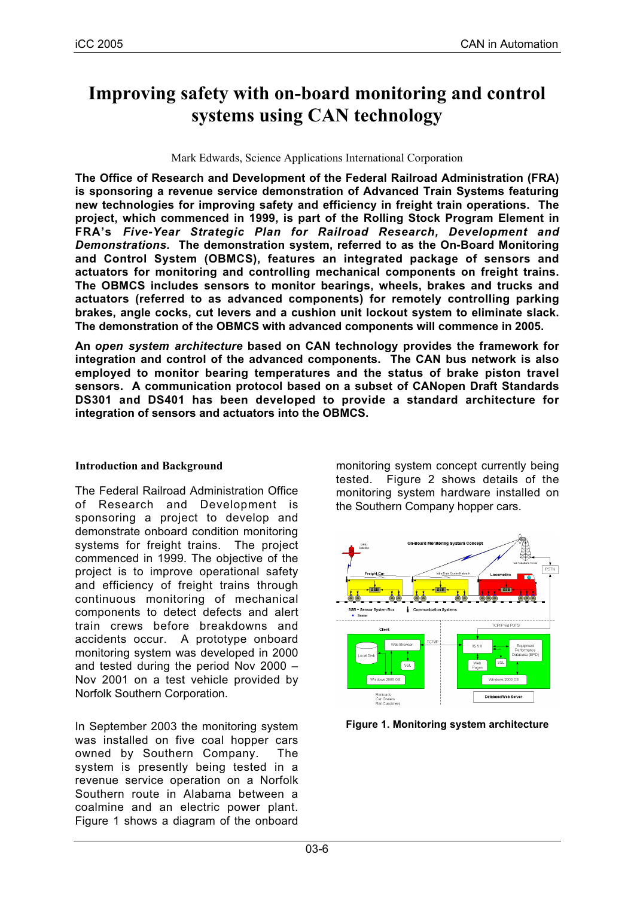# **Improving safety with on-board monitoring and control systems using CAN technology**

#### Mark Edwards, Science Applications International Corporation

**The Office of Research and Development of the Federal Railroad Administration (FRA) is sponsoring a revenue service demonstration of Advanced Train Systems featuring new technologies for improving safety and efficiency in freight train operations. The project, which commenced in 1999, is part of the Rolling Stock Program Element in FRA's** *Five-Year Strategic Plan for Railroad Research, Development and Demonstrations.* **The demonstration system, referred to as the On-Board Monitoring and Control System (OBMCS), features an integrated package of sensors and actuators for monitoring and controlling mechanical components on freight trains. The OBMCS includes sensors to monitor bearings, wheels, brakes and trucks and actuators (referred to as advanced components) for remotely controlling parking brakes, angle cocks, cut levers and a cushion unit lockout system to eliminate slack. The demonstration of the OBMCS with advanced components will commence in 2005.**

**An** *open system architecture* **based on CAN technology provides the framework for integration and control of the advanced components. The CAN bus network is also employed to monitor bearing temperatures and the status of brake piston travel sensors. A communication protocol based on a subset of CANopen Draft Standards DS301 and DS401 has been developed to provide a standard architecture for integration of sensors and actuators into the OBMCS.**

## **Introduction and Background**

The Federal Railroad Administration Office of Research and Development is sponsoring a project to develop and demonstrate onboard condition monitoring systems for freight trains. The project commenced in 1999. The objective of the project is to improve operational safety and efficiency of freight trains through continuous monitoring of mechanical components to detect defects and alert train crews before breakdowns and accidents occur. A prototype onboard monitoring system was developed in 2000 and tested during the period Nov 2000 – Nov 2001 on a test vehicle provided by Norfolk Southern Corporation.

In September 2003 the monitoring system was installed on five coal hopper cars owned by Southern Company. The system is presently being tested in a revenue service operation on a Norfolk Southern route in Alabama between a coalmine and an electric power plant. Figure 1 shows a diagram of the onboard monitoring system concept currently being tested. Figure 2 shows details of the monitoring system hardware installed on the Southern Company hopper cars.



**Figure 1. Monitoring system architecture**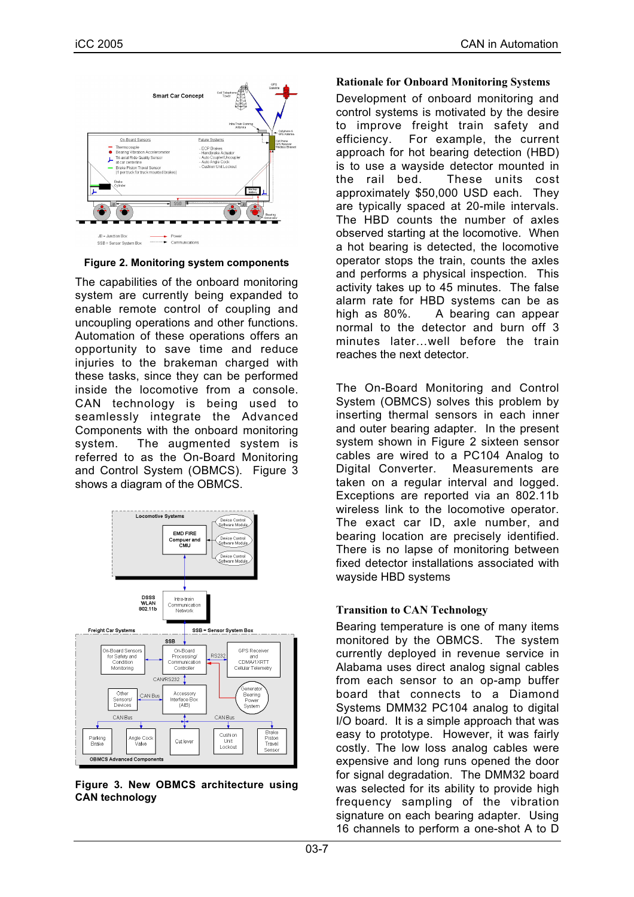

**Figure 2. Monitoring system components**

The capabilities of the onboard monitoring system are currently being expanded to enable remote control of coupling and uncoupling operations and other functions. Automation of these operations offers an opportunity to save time and reduce injuries to the brakeman charged with these tasks, since they can be performed inside the locomotive from a console. CAN technology is being used to seamlessly integrate the Advanced Components with the onboard monitoring system. The augmented system is referred to as the On-Board Monitoring and Control System (OBMCS). Figure 3 shows a diagram of the OBMCS.



**Figure 3. New OBMCS architecture using CAN technology**

## **Rationale for Onboard Monitoring Systems**

Development of onboard monitoring and control systems is motivated by the desire to improve freight train safety and efficiency. For example, the current approach for hot bearing detection (HBD) is to use a wayside detector mounted in the rail bed. These units cost approximately \$50,000 USD each. They are typically spaced at 20-mile intervals. The HBD counts the number of axles observed starting at the locomotive. When a hot bearing is detected, the locomotive operator stops the train, counts the axles and performs a physical inspection. This activity takes up to 45 minutes. The false alarm rate for HBD systems can be as high as 80%. A bearing can appear normal to the detector and burn off 3 minutes later…well before the train reaches the next detector.

The On-Board Monitoring and Control System (OBMCS) solves this problem by inserting thermal sensors in each inner and outer bearing adapter. In the present system shown in Figure 2 sixteen sensor cables are wired to a PC104 Analog to Digital Converter. Measurements are taken on a regular interval and logged. Exceptions are reported via an 802.11b wireless link to the locomotive operator. The exact car ID, axle number, and bearing location are precisely identified. There is no lapse of monitoring between fixed detector installations associated with wayside HBD systems

## **Transition to CAN Technology**

Bearing temperature is one of many items monitored by the OBMCS. The system currently deployed in revenue service in Alabama uses direct analog signal cables from each sensor to an op-amp buffer board that connects to a Diamond Systems DMM32 PC104 analog to digital I/O board. It is a simple approach that was easy to prototype. However, it was fairly costly. The low loss analog cables were expensive and long runs opened the door for signal degradation. The DMM32 board was selected for its ability to provide high frequency sampling of the vibration signature on each bearing adapter. Using 16 channels to perform a one-shot A to D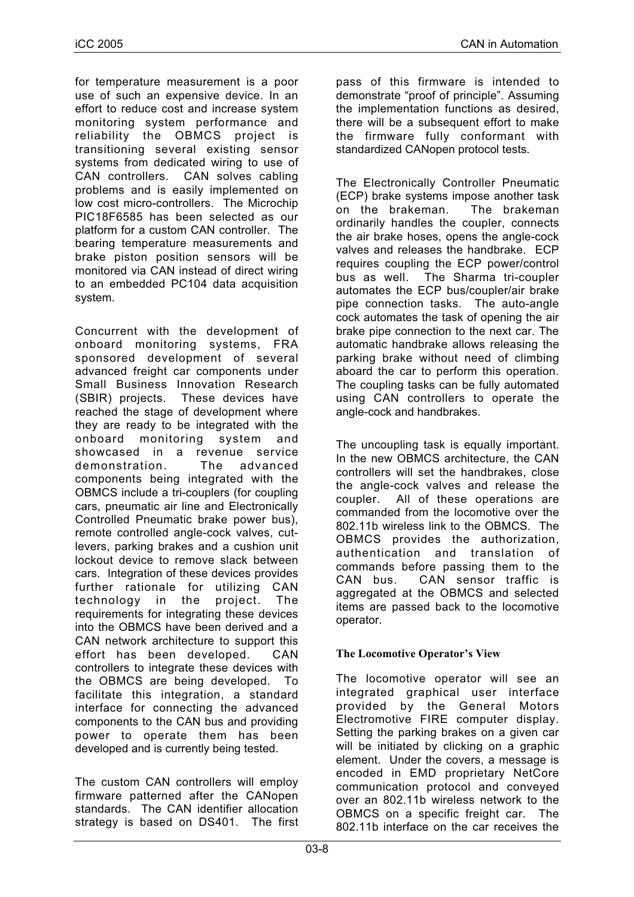for temperature measurement is a poor use of such an expensive device. In an effort to reduce cost and increase system monitoring system performance and reliability the OBMCS project is transitioning several existing sensor systems from dedicated wiring to use of CAN controllers. CAN solves cabling problems and is easily implemented on low cost micro-controllers. The Microchip PIC18F6585 has been selected as our platform for a custom CAN controller. The bearing temperature measurements and brake piston position sensors will be monitored via CAN instead of direct wiring to an embedded PC104 data acquisition system.

Concurrent with the development of onboard monitoring systems, FRA sponsored development of several advanced freight car components under Small Business Innovation Research (SBIR) projects. These devices have reached the stage of development where they are ready to be integrated with the onboard monitoring system and showcased in a revenue service demonstration. The advanced components being integrated with the OBMCS include a tri-couplers (for coupling cars, pneumatic air line and Electronically Controlled Pneumatic brake power bus), remote controlled angle-cock valves, cutlevers, parking brakes and a cushion unit lockout device to remove slack between cars. Integration of these devices provides further rationale for utilizing CAN technology in the project. The requirements for integrating these devices into the OBMCS have been derived and a CAN network architecture to support this effort has been developed. CAN controllers to integrate these devices with the OBMCS are being developed. To facilitate this integration, a standard interface for connecting the advanced components to the CAN bus and providing power to operate them has been developed and is currently being tested.

The custom CAN controllers will employ firmware patterned after the CANopen standards. The CAN identifier allocation strategy is based on DS401. The first pass of this firmware is intended to demonstrate "proof of principle". Assuming the implementation functions as desired, there will be a subsequent effort to make the firmware fully conformant with standardized CANopen protocol tests.

The Electronically Controller Pneumatic (ECP) brake systems impose another task on the brakeman. The brakeman ordinarily handles the coupler, connects the air brake hoses, opens the angle-cock valves and releases the handbrake. ECP requires coupling the ECP power/control bus as well. The Sharma tri-coupler automates the ECP bus/coupler/air brake pipe connection tasks. The auto-angle cock automates the task of opening the air brake pipe connection to the next car. The automatic handbrake allows releasing the parking brake without need of climbing aboard the car to perform this operation. The coupling tasks can be fully automated using CAN controllers to operate the angle-cock and handbrakes.

The uncoupling task is equally important. In the new OBMCS architecture, the CAN controllers will set the handbrakes, close the angle-cock valves and release the coupler. All of these operations are commanded from the locomotive over the 802.11b wireless link to the OBMCS. The OBMCS provides the authorization, authentication and translation of commands before passing them to the CAN bus. CAN sensor traffic is aggregated at the OBMCS and selected items are passed back to the locomotive operator.

# **The Locomotive Operator's View**

The locomotive operator will see an integrated graphical user interface provided by the General Motors Electromotive FIRE computer display. Setting the parking brakes on a given car will be initiated by clicking on a graphic element. Under the covers, a message is encoded in EMD proprietary NetCore communication protocol and conveyed over an 802.11b wireless network to the OBMCS on a specific freight car. The 802.11b interface on the car receives the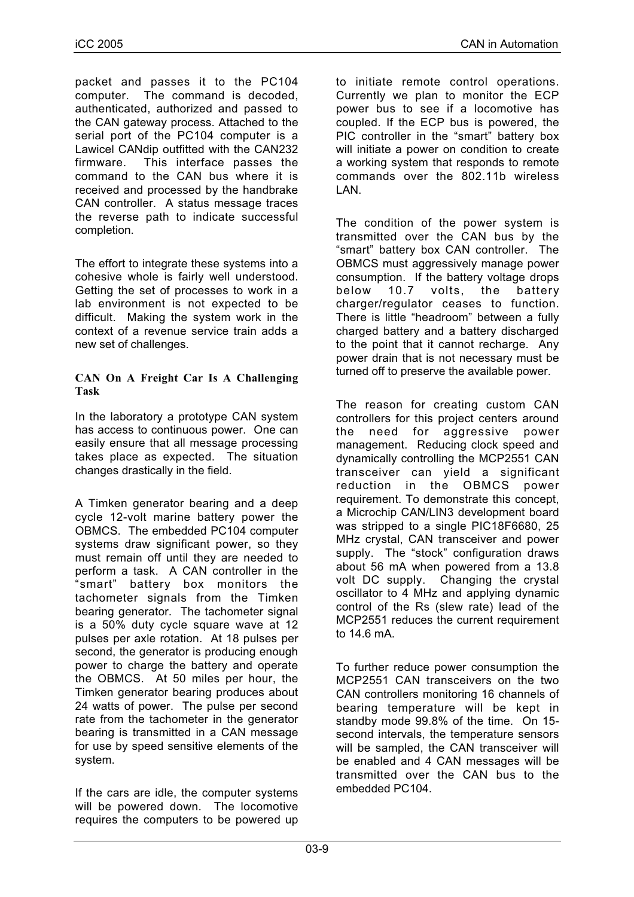packet and passes it to the PC104 computer. The command is decoded, authenticated, authorized and passed to the CAN gateway process. Attached to the serial port of the PC104 computer is a Lawicel CANdip outfitted with the CAN232 firmware. This interface passes the command to the CAN bus where it is received and processed by the handbrake CAN controller. A status message traces the reverse path to indicate successful completion.

The effort to integrate these systems into a cohesive whole is fairly well understood. Getting the set of processes to work in a lab environment is not expected to be difficult. Making the system work in the context of a revenue service train adds a new set of challenges.

## **CAN On A Freight Car Is A Challenging Task**

In the laboratory a prototype CAN system has access to continuous power. One can easily ensure that all message processing takes place as expected. The situation changes drastically in the field.

A Timken generator bearing and a deep cycle 12-volt marine battery power the OBMCS. The embedded PC104 computer systems draw significant power, so they must remain off until they are needed to perform a task. A CAN controller in the "smart" battery box monitors the tachometer signals from the Timken bearing generator. The tachometer signal is a 50% duty cycle square wave at 12 pulses per axle rotation. At 18 pulses per second, the generator is producing enough power to charge the battery and operate the OBMCS. At 50 miles per hour, the Timken generator bearing produces about 24 watts of power. The pulse per second rate from the tachometer in the generator bearing is transmitted in a CAN message for use by speed sensitive elements of the system.

If the cars are idle, the computer systems will be powered down. The locomotive requires the computers to be powered up

to initiate remote control operations. Currently we plan to monitor the ECP power bus to see if a locomotive has coupled. If the ECP bus is powered, the PIC controller in the "smart" battery box will initiate a power on condition to create a working system that responds to remote commands over the 802.11b wireless LAN.

The condition of the power system is transmitted over the CAN bus by the "smart" battery box CAN controller. The OBMCS must aggressively manage power consumption. If the battery voltage drops below 10.7 volts, the battery charger/regulator ceases to function. There is little "headroom" between a fully charged battery and a battery discharged to the point that it cannot recharge. Any power drain that is not necessary must be turned off to preserve the available power.

The reason for creating custom CAN controllers for this project centers around the need for aggressive power management. Reducing clock speed and dynamically controlling the MCP2551 CAN transceiver can yield a significant reduction in the OBMCS power requirement. To demonstrate this concept, a Microchip CAN/LIN3 development board was stripped to a single PIC18F6680, 25 MHz crystal, CAN transceiver and power supply. The "stock" configuration draws about 56 mA when powered from a 13.8 volt DC supply. Changing the crystal oscillator to 4 MHz and applying dynamic control of the Rs (slew rate) lead of the MCP2551 reduces the current requirement to 14.6 mA.

To further reduce power consumption the MCP2551 CAN transceivers on the two CAN controllers monitoring 16 channels of bearing temperature will be kept in standby mode 99.8% of the time. On 15 second intervals, the temperature sensors will be sampled, the CAN transceiver will be enabled and 4 CAN messages will be transmitted over the CAN bus to the embedded PC104.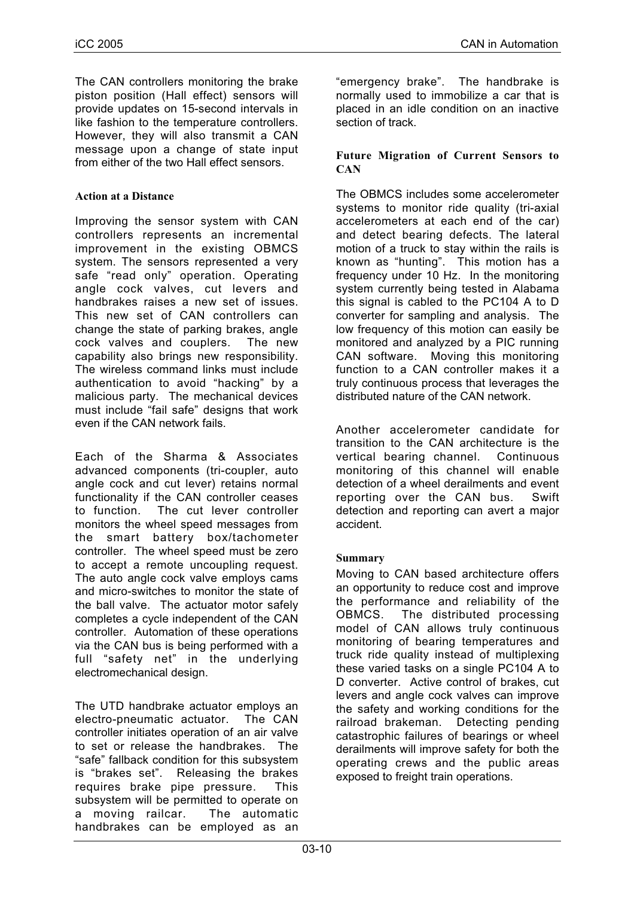The CAN controllers monitoring the brake piston position (Hall effect) sensors will provide updates on 15-second intervals in like fashion to the temperature controllers. However, they will also transmit a CAN message upon a change of state input from either of the two Hall effect sensors.

## **Action at a Distance**

Improving the sensor system with CAN controllers represents an incremental improvement in the existing OBMCS system. The sensors represented a very safe "read only" operation. Operating angle cock valves, cut levers and handbrakes raises a new set of issues. This new set of CAN controllers can change the state of parking brakes, angle cock valves and couplers. The new capability also brings new responsibility. The wireless command links must include authentication to avoid "hacking" by a malicious party. The mechanical devices must include "fail safe" designs that work even if the CAN network fails.

Each of the Sharma & Associates advanced components (tri-coupler, auto angle cock and cut lever) retains normal functionality if the CAN controller ceases to function. The cut lever controller monitors the wheel speed messages from the smart battery box/tachometer controller. The wheel speed must be zero to accept a remote uncoupling request. The auto angle cock valve employs cams and micro-switches to monitor the state of the ball valve. The actuator motor safely completes a cycle independent of the CAN controller. Automation of these operations via the CAN bus is being performed with a full "safety net" in the underlying electromechanical design.

The UTD handbrake actuator employs an electro-pneumatic actuator. The CAN controller initiates operation of an air valve to set or release the handbrakes. The "safe" fallback condition for this subsystem is "brakes set". Releasing the brakes requires brake pipe pressure. This subsystem will be permitted to operate on a moving railcar. The automatic handbrakes can be employed as an

"emergency brake". The handbrake is normally used to immobilize a car that is placed in an idle condition on an inactive section of track.

## **Future Migration of Current Sensors to CAN**

The OBMCS includes some accelerometer systems to monitor ride quality (tri-axial accelerometers at each end of the car) and detect bearing defects. The lateral motion of a truck to stay within the rails is known as "hunting". This motion has a frequency under 10 Hz. In the monitoring system currently being tested in Alabama this signal is cabled to the PC104 A to D converter for sampling and analysis. The low frequency of this motion can easily be monitored and analyzed by a PIC running CAN software. Moving this monitoring function to a CAN controller makes it a truly continuous process that leverages the distributed nature of the CAN network.

Another accelerometer candidate for transition to the CAN architecture is the vertical bearing channel. Continuous monitoring of this channel will enable detection of a wheel derailments and event reporting over the CAN bus. Swift detection and reporting can avert a major accident.

# **Summary**

Moving to CAN based architecture offers an opportunity to reduce cost and improve the performance and reliability of the OBMCS. The distributed processing model of CAN allows truly continuous monitoring of bearing temperatures and truck ride quality instead of multiplexing these varied tasks on a single PC104 A to D converter. Active control of brakes, cut levers and angle cock valves can improve the safety and working conditions for the railroad brakeman. Detecting pending catastrophic failures of bearings or wheel derailments will improve safety for both the operating crews and the public areas exposed to freight train operations.